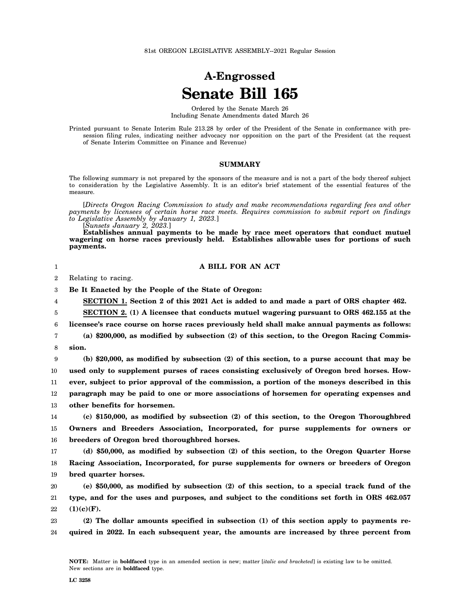## **A-Engrossed Senate Bill 165**

Ordered by the Senate March 26 Including Senate Amendments dated March 26

Printed pursuant to Senate Interim Rule 213.28 by order of the President of the Senate in conformance with presession filing rules, indicating neither advocacy nor opposition on the part of the President (at the request of Senate Interim Committee on Finance and Revenue)

## **SUMMARY**

The following summary is not prepared by the sponsors of the measure and is not a part of the body thereof subject to consideration by the Legislative Assembly. It is an editor's brief statement of the essential features of the measure.

[*Directs Oregon Racing Commission to study and make recommendations regarding fees and other payments by licensees of certain horse race meets. Requires commission to submit report on findings to Legislative Assembly by January 1, 2023.*]

[*Sunsets January 2, 2023.*]

**Establishes annual payments to be made by race meet operators that conduct mutuel wagering on horse races previously held. Establishes allowable uses for portions of such payments.**

## **A BILL FOR AN ACT**

2 Relating to racing.

1

3 **Be It Enacted by the People of the State of Oregon:**

4 **SECTION 1. Section 2 of this 2021 Act is added to and made a part of ORS chapter 462.**

5 6 **SECTION 2. (1) A licensee that conducts mutuel wagering pursuant to ORS 462.155 at the licensee's race course on horse races previously held shall make annual payments as follows:**

7 8 **(a) \$200,000, as modified by subsection (2) of this section, to the Oregon Racing Commission.**

9 10 11 12 13 **(b) \$20,000, as modified by subsection (2) of this section, to a purse account that may be used only to supplement purses of races consisting exclusively of Oregon bred horses. However, subject to prior approval of the commission, a portion of the moneys described in this paragraph may be paid to one or more associations of horsemen for operating expenses and other benefits for horsemen.**

14 15 16 **(c) \$150,000, as modified by subsection (2) of this section, to the Oregon Thoroughbred Owners and Breeders Association, Incorporated, for purse supplements for owners or breeders of Oregon bred thoroughbred horses.**

17 18 19 **(d) \$50,000, as modified by subsection (2) of this section, to the Oregon Quarter Horse Racing Association, Incorporated, for purse supplements for owners or breeders of Oregon bred quarter horses.**

20 21 22 **(e) \$50,000, as modified by subsection (2) of this section, to a special track fund of the type, and for the uses and purposes, and subject to the conditions set forth in ORS 462.057 (1)(c)(F).**

23 24 **(2) The dollar amounts specified in subsection (1) of this section apply to payments required in 2022. In each subsequent year, the amounts are increased by three percent from**